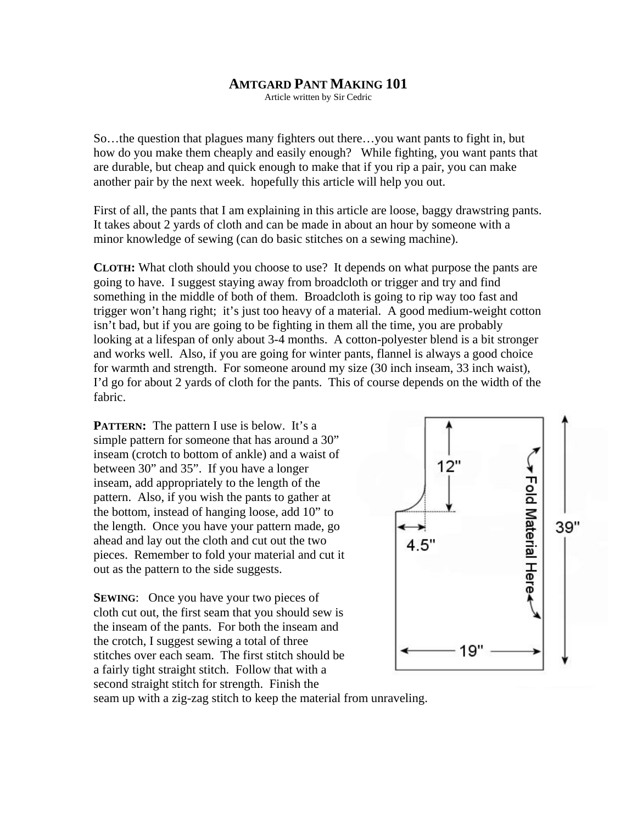## **AMTGARD PANT MAKING 101**

Article written by Sir Cedric

So…the question that plagues many fighters out there…you want pants to fight in, but how do you make them cheaply and easily enough? While fighting, you want pants that are durable, but cheap and quick enough to make that if you rip a pair, you can make another pair by the next week. hopefully this article will help you out.

First of all, the pants that I am explaining in this article are loose, baggy drawstring pants. It takes about 2 yards of cloth and can be made in about an hour by someone with a minor knowledge of sewing (can do basic stitches on a sewing machine).

**CLOTH:** What cloth should you choose to use? It depends on what purpose the pants are going to have. I suggest staying away from broadcloth or trigger and try and find something in the middle of both of them. Broadcloth is going to rip way too fast and trigger won't hang right; it's just too heavy of a material. A good medium-weight cotton isn't bad, but if you are going to be fighting in them all the time, you are probably looking at a lifespan of only about 3-4 months. A cotton-polyester blend is a bit stronger and works well. Also, if you are going for winter pants, flannel is always a good choice for warmth and strength. For someone around my size (30 inch inseam, 33 inch waist), I'd go for about 2 yards of cloth for the pants. This of course depends on the width of the fabric.

**PATTERN:** The pattern I use is below. It's a simple pattern for someone that has around a 30" inseam (crotch to bottom of ankle) and a waist of between 30" and 35". If you have a longer inseam, add appropriately to the length of the pattern. Also, if you wish the pants to gather at the bottom, instead of hanging loose, add 10" to the length. Once you have your pattern made, go ahead and lay out the cloth and cut out the two pieces. Remember to fold your material and cut it out as the pattern to the side suggests.

**SEWING:** Once you have your two pieces of cloth cut out, the first seam that you should sew is the inseam of the pants. For both the inseam and the crotch, I suggest sewing a total of three stitches over each seam. The first stitch should be a fairly tight straight stitch. Follow that with a second straight stitch for strength. Finish the



seam up with a zig-zag stitch to keep the material from unraveling.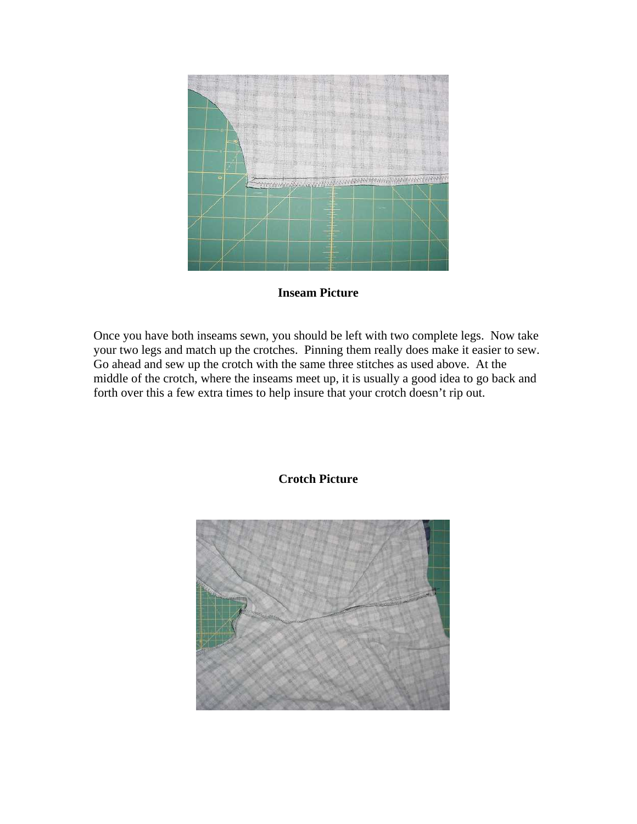

## **Inseam Picture**

Once you have both inseams sewn, you should be left with two complete legs. Now take your two legs and match up the crotches. Pinning them really does make it easier to sew. Go ahead and sew up the crotch with the same three stitches as used above. At the middle of the crotch, where the inseams meet up, it is usually a good idea to go back and forth over this a few extra times to help insure that your crotch doesn't rip out.



## **Crotch Picture**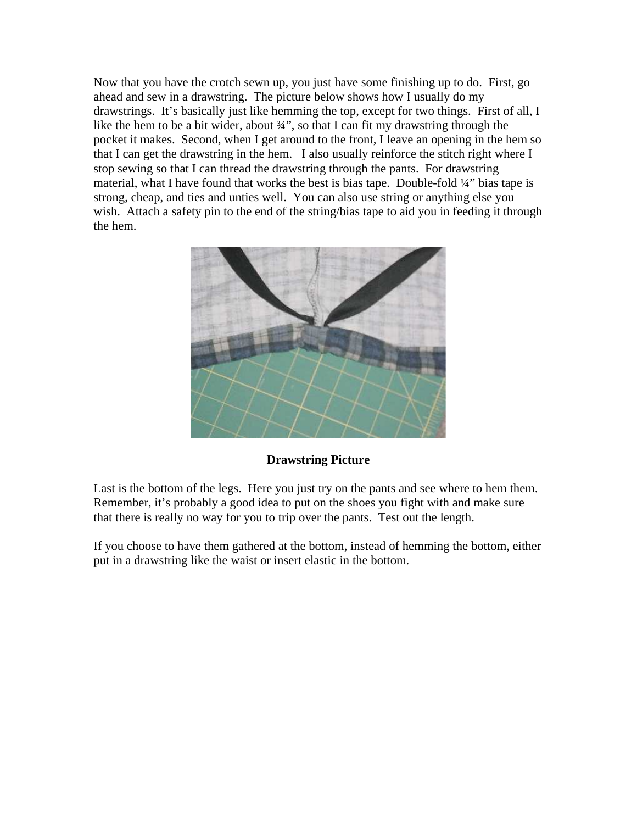Now that you have the crotch sewn up, you just have some finishing up to do. First, go ahead and sew in a drawstring. The picture below shows how I usually do my drawstrings. It's basically just like hemming the top, except for two things. First of all, I like the hem to be a bit wider, about 3/4", so that I can fit my drawstring through the pocket it makes. Second, when I get around to the front, I leave an opening in the hem so that I can get the drawstring in the hem. I also usually reinforce the stitch right where I stop sewing so that I can thread the drawstring through the pants. For drawstring material, what I have found that works the best is bias tape. Double-fold ¼" bias tape is strong, cheap, and ties and unties well. You can also use string or anything else you wish. Attach a safety pin to the end of the string/bias tape to aid you in feeding it through the hem.



## **Drawstring Picture**

Last is the bottom of the legs. Here you just try on the pants and see where to hem them. Remember, it's probably a good idea to put on the shoes you fight with and make sure that there is really no way for you to trip over the pants. Test out the length.

If you choose to have them gathered at the bottom, instead of hemming the bottom, either put in a drawstring like the waist or insert elastic in the bottom.